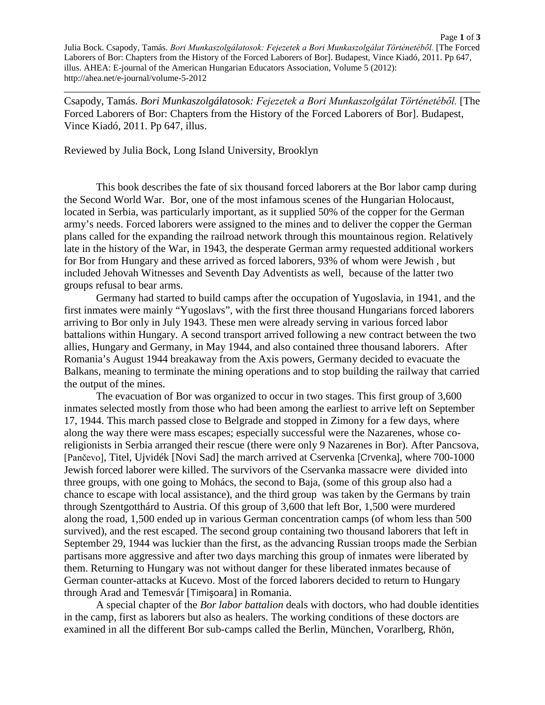Page **1** of **3** Julia Bock. Csapody, Tamás. *Bori Munkaszolgálatosok: Fejezetek a Bori Munkaszolgálat Történetéből.* [The Forced Laborers of Bor: Chapters from the History of the Forced Laborers of Bor]. Budapest, Vince Kiadó, 2011. Pp 647, illus. AHEA: E-journal of the American Hungarian Educators Association, Volume 5 (2012): http://ahea.net/e-journal/volume-5-2012

Csapody, Tamás. *Bori Munkaszolgálatosok: Fejezetek a Bori Munkaszolgálat Történetéből.* [The Forced Laborers of Bor: Chapters from the History of the Forced Laborers of Bor]. Budapest, Vince Kiadó, 2011. Pp 647, illus.

Reviewed by Julia Bock, Long Island University, Brooklyn

This book describes the fate of six thousand forced laborers at the Bor labor camp during the Second World War. Bor, one of the most infamous scenes of the Hungarian Holocaust, located in Serbia, was particularly important, as it supplied 50% of the copper for the German army's needs. Forced laborers were assigned to the mines and to deliver the copper the German plans called for the expanding the railroad network through this mountainous region. Relatively late in the history of the War, in 1943, the desperate German army requested additional workers for Bor from Hungary and these arrived as forced laborers, 93% of whom were Jewish , but included Jehovah Witnesses and Seventh Day Adventists as well, because of the latter two groups refusal to bear arms.

Germany had started to build camps after the occupation of Yugoslavia, in 1941, and the first inmates were mainly "Yugoslavs", with the first three thousand Hungarians forced laborers arriving to Bor only in July 1943. These men were already serving in various forced labor battalions within Hungary. A second transport arrived following a new contract between the two allies, Hungary and Germany, in May 1944, and also contained three thousand laborers. After Romania's August 1944 breakaway from the Axis powers, Germany decided to evacuate the Balkans, meaning to terminate the mining operations and to stop building the railway that carried the output of the mines.

The evacuation of Bor was organized to occur in two stages. This first group of 3,600 inmates selected mostly from those who had been among the earliest to arrive left on September 17, 1944. This march passed close to Belgrade and stopped in Zimony for a few days, where along the way there were mass escapes; especially successful were the Nazarenes, whose coreligionists in Serbia arranged their rescue (there were only 9 Nazarenes in Bor). After Pancsova, [Pančevo], Titel, Ujvidék [Novi Sad] the march arrived at Cservenka [Crvenka], where 700-1000 Jewish forced laborer were killed. The survivors of the Cservanka massacre were divided into three groups, with one going to Mohács, the second to Baja, (some of this group also had a chance to escape with local assistance), and the third group was taken by the Germans by train through Szentgotthárd to Austria. Of this group of 3,600 that left Bor, 1,500 were murdered along the road, 1,500 ended up in various German concentration camps (of whom less than 500 survived), and the rest escaped. The second group containing two thousand laborers that left in September 29, 1944 was luckier than the first, as the advancing Russian troops made the Serbian partisans more aggressive and after two days marching this group of inmates were liberated by them. Returning to Hungary was not without danger for these liberated inmates because of German counter-attacks at Kucevo. Most of the forced laborers decided to return to Hungary through Arad and Temesvár [Timişoara] in Romania.

A special chapter of the *Bor labor battalion* deals with doctors, who had double identities in the camp, first as laborers but also as healers. The working conditions of these doctors are examined in all the different Bor sub-camps called the Berlin, München, Vorarlberg, Rhön,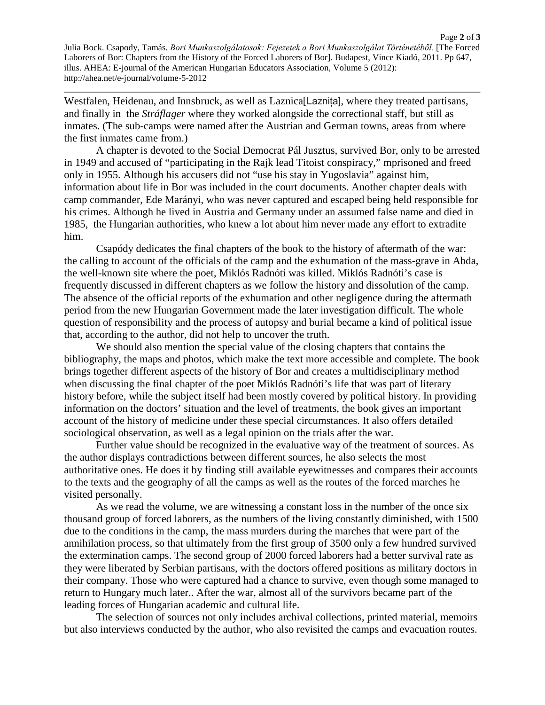Page **2** of **3** Julia Bock. Csapody, Tamás. *Bori Munkaszolgálatosok: Fejezetek a Bori Munkaszolgálat Történetéből.* [The Forced Laborers of Bor: Chapters from the History of the Forced Laborers of Bor]. Budapest, Vince Kiadó, 2011. Pp 647, illus. AHEA: E-journal of the American Hungarian Educators Association, Volume 5 (2012): http://ahea.net/e-journal/volume-5-2012

Westfalen, Heidenau, and Innsbruck, as well as Laznica<sup>[Laznita]</sup>, where they treated partisans, and finally in the *Stráflager* where they worked alongside the correctional staff, but still as inmates. (The sub-camps were named after the Austrian and German towns, areas from where the first inmates came from.)

A chapter is devoted to the Social Democrat Pál Jusztus, survived Bor, only to be arrested in 1949 and accused of "participating in the Rajk lead Titoist conspiracy," mprisoned and freed only in 1955. Although his accusers did not "use his stay in Yugoslavia" against him, information about life in Bor was included in the court documents. Another chapter deals with camp commander, Ede Marányi, who was never captured and escaped being held responsible for his crimes. Although he lived in Austria and Germany under an assumed false name and died in 1985, the Hungarian authorities, who knew a lot about him never made any effort to extradite him.

Csapódy dedicates the final chapters of the book to the history of aftermath of the war: the calling to account of the officials of the camp and the exhumation of the mass-grave in Abda, the well-known site where the poet, Miklós Radnóti was killed. Miklós Radnóti's case is frequently discussed in different chapters as we follow the history and dissolution of the camp. The absence of the official reports of the exhumation and other negligence during the aftermath period from the new Hungarian Government made the later investigation difficult. The whole question of responsibility and the process of autopsy and burial became a kind of political issue that, according to the author, did not help to uncover the truth.

We should also mention the special value of the closing chapters that contains the bibliography, the maps and photos, which make the text more accessible and complete. The book brings together different aspects of the history of Bor and creates a multidisciplinary method when discussing the final chapter of the poet Miklós Radnóti's life that was part of literary history before, while the subject itself had been mostly covered by political history. In providing information on the doctors' situation and the level of treatments, the book gives an important account of the history of medicine under these special circumstances. It also offers detailed sociological observation, as well as a legal opinion on the trials after the war.

Further value should be recognized in the evaluative way of the treatment of sources. As the author displays contradictions between different sources, he also selects the most authoritative ones. He does it by finding still available eyewitnesses and compares their accounts to the texts and the geography of all the camps as well as the routes of the forced marches he visited personally.

As we read the volume, we are witnessing a constant loss in the number of the once six thousand group of forced laborers, as the numbers of the living constantly diminished, with 1500 due to the conditions in the camp, the mass murders during the marches that were part of the annihilation process, so that ultimately from the first group of 3500 only a few hundred survived the extermination camps. The second group of 2000 forced laborers had a better survival rate as they were liberated by Serbian partisans, with the doctors offered positions as military doctors in their company. Those who were captured had a chance to survive, even though some managed to return to Hungary much later.. After the war, almost all of the survivors became part of the leading forces of Hungarian academic and cultural life.

The selection of sources not only includes archival collections, printed material, memoirs but also interviews conducted by the author, who also revisited the camps and evacuation routes.